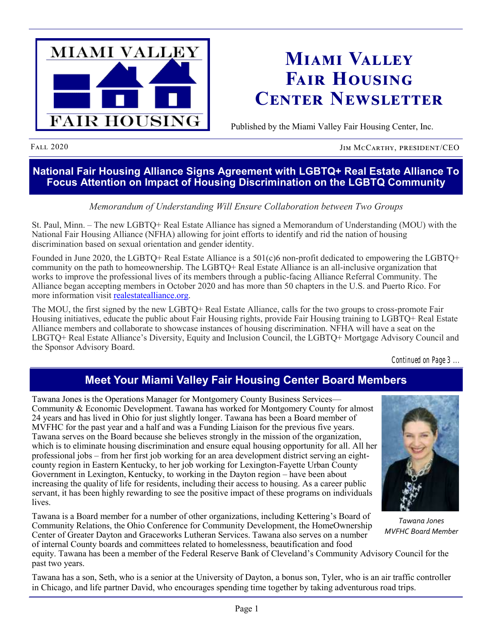

# **Miami Valley Fair Housing Center Newsletter**

Published by the Miami Valley Fair Housing Center, Inc.

FALL 2020 JIM MCCARTHY, PRESIDENT/CEO

### **National Fair Housing Alliance Signs Agreement with LGBTQ+ Real Estate Alliance To Focus Attention on Impact of Housing Discrimination on the LGBTQ Community**

### *Memorandum of Understanding Will Ensure Collaboration between Two Groups*

St. Paul, Minn. – The new LGBTQ+ Real Estate Alliance has signed a Memorandum of Understanding (MOU) with the National Fair Housing Alliance (NFHA) allowing for joint efforts to identify and rid the nation of housing discrimination based on sexual orientation and gender identity.

Founded in June 2020, the LGBTQ+ Real Estate Alliance is a 501(c)6 non-profit dedicated to empowering the LGBTQ+ community on the path to homeownership. The LGBTQ+ Real Estate Alliance is an all-inclusive organization that works to improve the professional lives of its members through a public-facing Alliance Referral Community. The Alliance began accepting members in October 2020 and has more than 50 chapters in the U.S. and Puerto Rico. For more information visit [realestatealliance.org.](https://default.salsalabs.org/Ta6bf65c2-a318-4602-92ee-f7014c917947/410b861d-4484-4950-b246-9bcf1a8c1330)

The MOU, the first signed by the new LGBTQ+ Real Estate Alliance, calls for the two groups to cross-promote Fair Housing initiatives, educate the public about Fair Housing rights, provide Fair Housing training to LGBTQ+ Real Estate Alliance members and collaborate to showcase instances of housing discrimination. NFHA will have a seat on the LBGTQ+ Real Estate Alliance's Diversity, Equity and Inclusion Council, the LGBTQ+ Mortgage Advisory Council and the Sponsor Advisory Board.

*Continued on Page 3 ...*

# **Meet Your Miami Valley Fair Housing Center Board Members**

Tawana Jones is the Operations Manager for Montgomery County Business Services— Community & Economic Development. Tawana has worked for Montgomery County for almost 24 years and has lived in Ohio for just slightly longer. Tawana has been a Board member of MVFHC for the past year and a half and was a Funding Liaison for the previous five years. Tawana serves on the Board because she believes strongly in the mission of the organization, which is to eliminate housing discrimination and ensure equal housing opportunity for all. All her professional jobs – from her first job working for an area development district serving an eightcounty region in Eastern Kentucky, to her job working for Lexington-Fayette Urban County Government in Lexington, Kentucky, to working in the Dayton region – have been about increasing the quality of life for residents, including their access to housing. As a career public servant, it has been highly rewarding to see the positive impact of these programs on individuals lives.

Tawana is a Board member for a number of other organizations, including Kettering's Board of Community Relations, the Ohio Conference for Community Development, the HomeOwnership Center of Greater Dayton and Graceworks Lutheran Services. Tawana also serves on a number of internal County boards and committees related to homelessness, beautification and food



*Tawana Jones MVFHC Board Member*

equity. Tawana has been a member of the Federal Reserve Bank of Cleveland's Community Advisory Council for the past two years.

Tawana has a son, Seth, who is a senior at the University of Dayton, a bonus son, Tyler, who is an air traffic controller in Chicago, and life partner David, who encourages spending time together by taking adventurous road trips.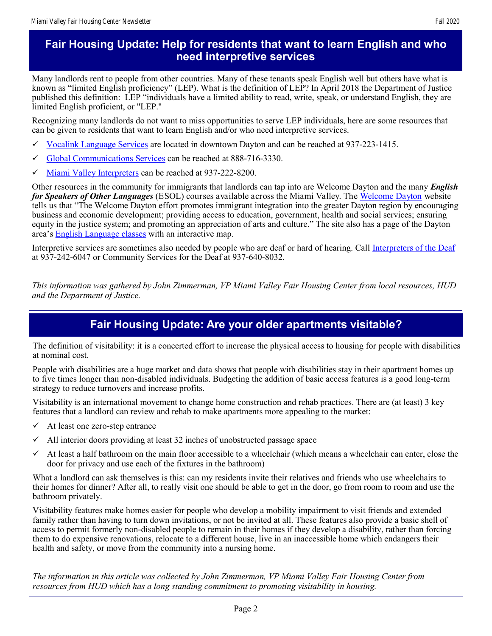Many landlords rent to people from other countries. Many of these tenants speak English well but others have what is known as "limited English proficiency" (LEP). What is the definition of LEP? In April 2018 the Department of Justice published this definition: LEP "individuals have a limited ability to read, write, speak, or understand English, they are limited English proficient, or "LEP."

Recognizing many landlords do not want to miss opportunities to serve LEP individuals, here are some resources that can be given to residents that want to learn English and/or who need interpretive services.

- [Vocalink Language Services](https://vocalinkglobal.com/) are located in downtown Dayton and can be reached at 937-223-1415.
- [Global Communications Services](http://www.simplifiedtranslations.com/) can be reached at 888-716-3330.
- $\checkmark$  [Miami Valley Interpreters](http://www.mviglobal.com/) can be reached at 937-222-8200.

Other resources in the community for immigrants that landlords can tap into are Welcome Dayton and the many *English for Speakers of Other Languages* (ESOL) courses available across the Miami Valley. The [Welcome Dayton](http://www.welcomedayton.org/) website tells us that "The Welcome Dayton effort promotes immigrant integration into the greater Dayton region by encouraging business and economic development; providing access to education, government, health and social services; ensuring equity in the justice system; and promoting an appreciation of arts and culture." The site also has a page of the Dayton area's [English Language classes](http://www.welcomedayton.org/resources/esol-classes/) with an interactive map.

Interpretive services are sometimes also needed by people who are deaf or hard of hearing. Call [Interpreters of the Deaf](https://deafterp.com/) at 937-242-6047 or Community Services for the Deaf at 937-640-8032.

*This information was gathered by John Zimmerman, VP Miami Valley Fair Housing Center from local resources, HUD and the Department of Justice.* 

## **Fair Housing Update: Are your older apartments visitable?**

The definition of visitability: it is a concerted effort to increase the physical access to housing for people with disabilities at nominal cost.

People with disabilities are a huge market and data shows that people with disabilities stay in their apartment homes up to five times longer than non-disabled individuals. Budgeting the addition of basic access features is a good long-term strategy to reduce turnovers and increase profits.

Visitability is an international movement to change home construction and rehab practices. There are (at least) 3 key features that a landlord can review and rehab to make apartments more appealing to the market:

- $\checkmark$  At least one zero-step entrance
- $\checkmark$  All interior doors providing at least 32 inches of unobstructed passage space
- $\checkmark$  At least a half bathroom on the main floor accessible to a wheelchair (which means a wheelchair can enter, close the door for privacy and use each of the fixtures in the bathroom)

What a landlord can ask themselves is this: can my residents invite their relatives and friends who use wheelchairs to their homes for dinner? After all, to really visit one should be able to get in the door, go from room to room and use the bathroom privately.

Visitability features make homes easier for people who develop a mobility impairment to visit friends and extended family rather than having to turn down invitations, or not be invited at all. These features also provide a basic shell of access to permit formerly non-disabled people to remain in their homes if they develop a disability, rather than forcing them to do expensive renovations, relocate to a different house, live in an inaccessible home which endangers their health and safety, or move from the community into a nursing home.

*The information in this article was collected by John Zimmerman, VP Miami Valley Fair Housing Center from resources from HUD which has a long standing commitment to promoting visitability in housing.*